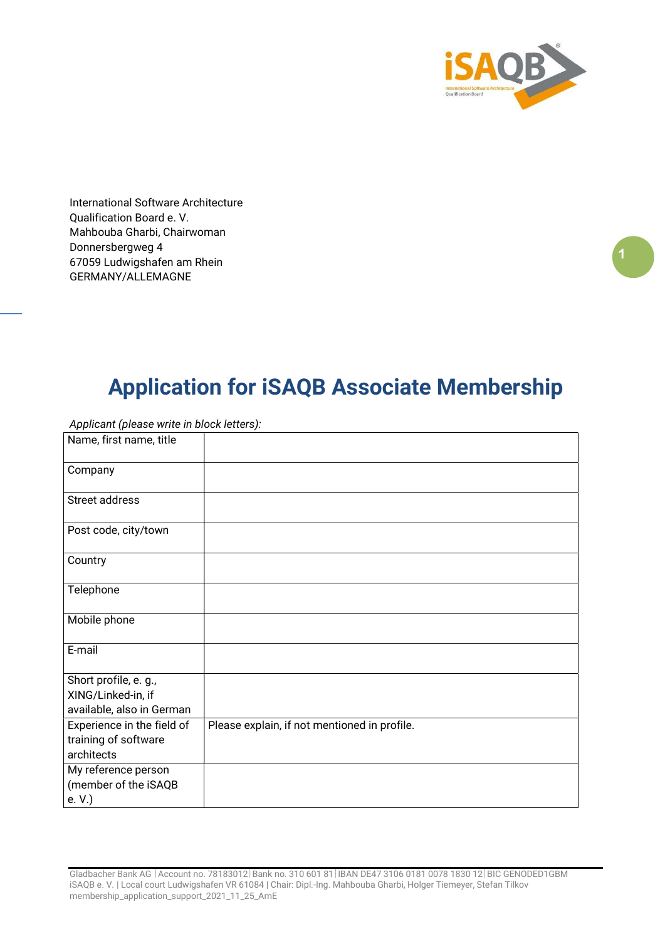

International Software Architecture Qualification Board e. V. Mahbouba Gharbi, Chairwoman Donnersbergweg 4 67059 Ludwigshafen am Rhein GERMANY/ALLEMAGNE

## Application for iSAQB Associate Membership

| $\mathbf{r}$<br>$\sim$ $\mathbf{v}$                                      |                                              |
|--------------------------------------------------------------------------|----------------------------------------------|
| Name, first name, title                                                  |                                              |
| Company                                                                  |                                              |
| Street address                                                           |                                              |
| Post code, city/town                                                     |                                              |
| Country                                                                  |                                              |
| Telephone                                                                |                                              |
| Mobile phone                                                             |                                              |
| E-mail                                                                   |                                              |
| Short profile, e. g.,<br>XING/Linked-in, if<br>available, also in German |                                              |
| Experience in the field of<br>training of software<br>architects         | Please explain, if not mentioned in profile. |
| My reference person<br>(member of the iSAQB<br>e. V.)                    |                                              |

Applicant (please write in block letters):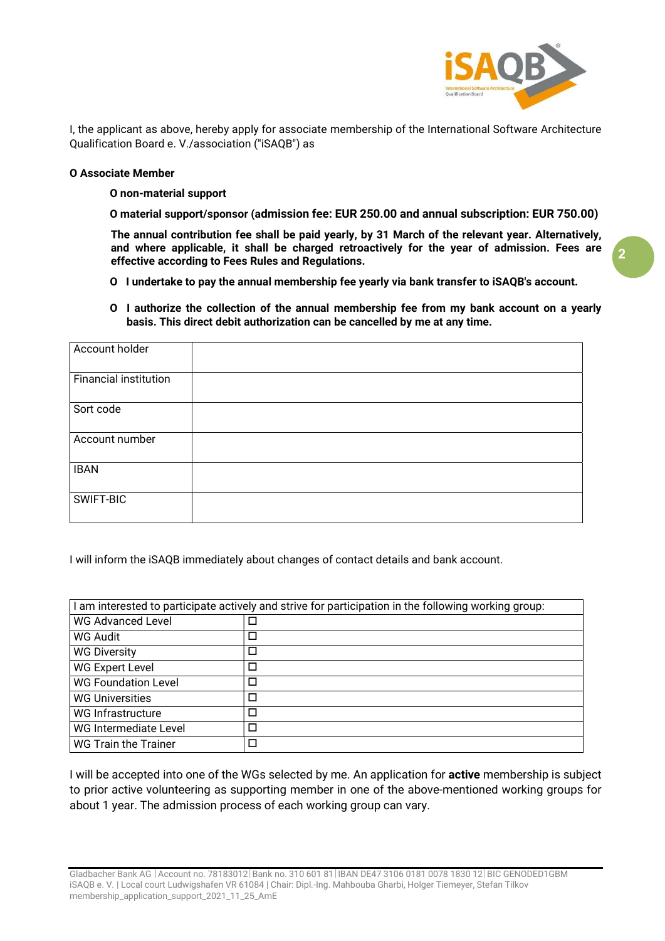

I, the applicant as above, hereby apply for associate membership of the International Software Architecture Qualification Board e. V./association ("iSAQB") as

#### О Associate Member

О non-material support

О material support/sponsor (admission fee: EUR 250.00 and annual subscription: EUR 750.00)

 The annual contribution fee shall be paid yearly, by 31 March of the relevant year. Alternatively, and where applicable, it shall be charged retroactively for the year of admission. Fees are effective according to Fees Rules and Regulations.

- О I undertake to pay the annual membership fee yearly via bank transfer to iSAQB's account.
- О I authorize the collection of the annual membership fee from my bank account on a yearly basis. This direct debit authorization can be cancelled by me at any time.

| Account holder               |  |
|------------------------------|--|
| <b>Financial institution</b> |  |
| Sort code                    |  |
| Account number               |  |
| <b>IBAN</b>                  |  |
| SWIFT-BIC                    |  |

I will inform the iSAQB immediately about changes of contact details and bank account.

| I am interested to participate actively and strive for participation in the following working group: |        |  |
|------------------------------------------------------------------------------------------------------|--------|--|
| <b>WG Advanced Level</b>                                                                             |        |  |
| WG Audit                                                                                             | $\Box$ |  |
| <b>WG Diversity</b>                                                                                  | Ξ      |  |
| <b>WG Expert Level</b>                                                                               | $\Box$ |  |
| <b>WG Foundation Level</b>                                                                           | П      |  |
| <b>WG Universities</b>                                                                               | □      |  |
| WG Infrastructure                                                                                    | $\Box$ |  |
| WG Intermediate Level                                                                                | $\Box$ |  |
| <b>WG Train the Trainer</b>                                                                          | $\Box$ |  |

I will be accepted into one of the WGs selected by me. An application for **active** membership is subject to prior active volunteering as supporting member in one of the above-mentioned working groups for about 1 year. The admission process of each working group can vary.

2

Gladbacher Bank AG | Account no. 78183012 | Bank no. 310 601 81 | IBAN DE47 3106 0181 0078 1830 12 | BIC GENODED1GBM iSAQB e. V. | Local court Ludwigshafen VR 61084 | Chair: Dipl.-Ing. Mahbouba Gharbi, Holger Tiemeyer, Stefan Tilkov membership\_application\_support\_2021\_11\_25\_AmE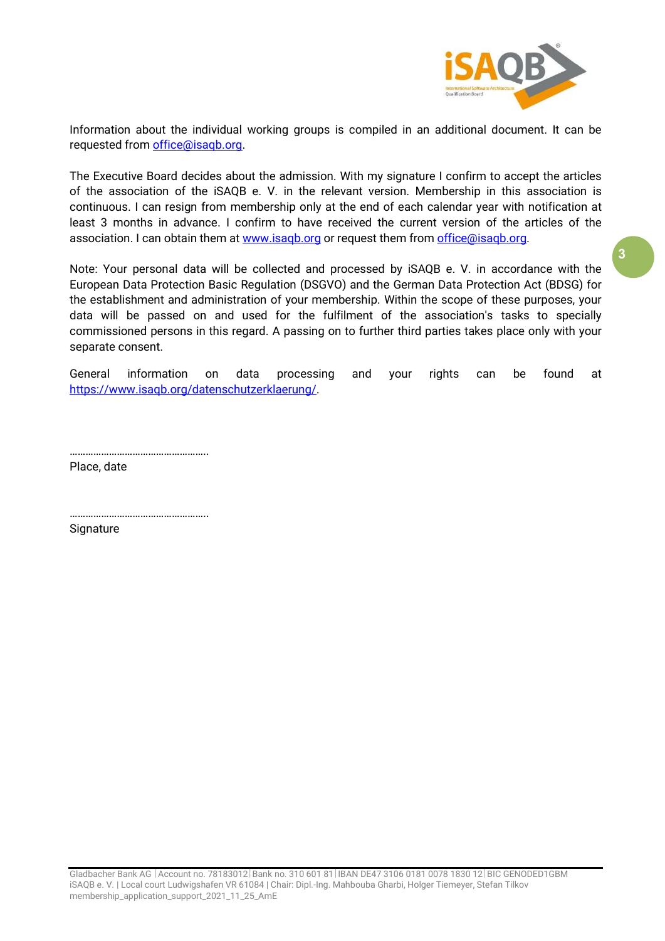

Information about the individual working groups is compiled in an additional document. It can be requested from office@isaqb.org.

The Executive Board decides about the admission. With my signature I confirm to accept the articles of the association of the iSAQB e. V. in the relevant version. Membership in this association is continuous. I can resign from membership only at the end of each calendar year with notification at least 3 months in advance. I confirm to have received the current version of the articles of the association. I can obtain them at www.isaqb.org or request them from office@isaqb.org.

Note: Your personal data will be collected and processed by iSAQB e. V. in accordance with the European Data Protection Basic Regulation (DSGVO) and the German Data Protection Act (BDSG) for the establishment and administration of your membership. Within the scope of these purposes, your data will be passed on and used for the fulfilment of the association's tasks to specially commissioned persons in this regard. A passing on to further third parties takes place only with your separate consent.

General information on data processing and your rights can be found at https://www.isaqb.org/datenschutzerklaerung/.

……………………………………………..

……………………………………………..

Place, date

Signature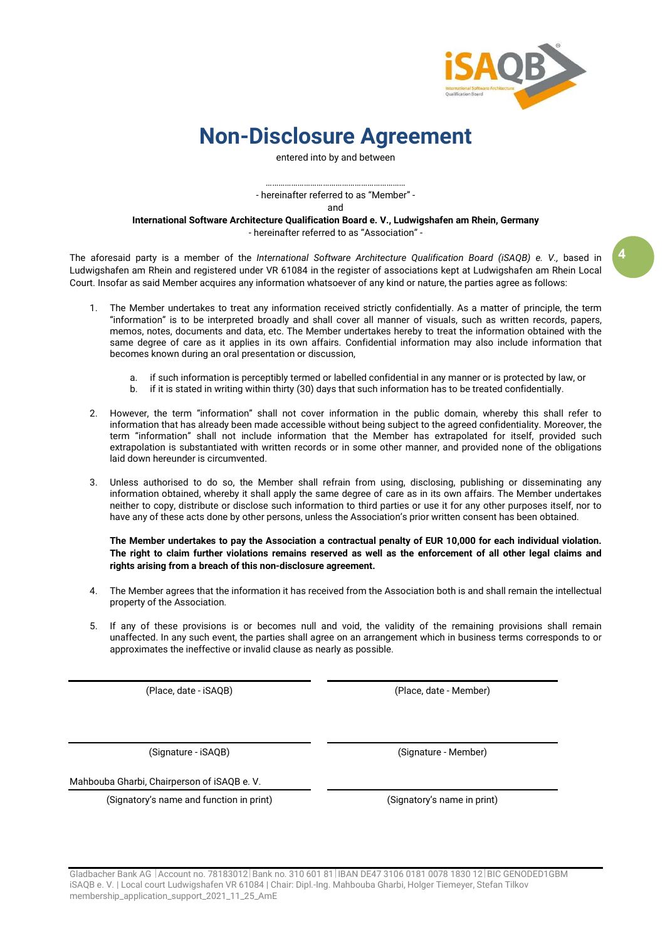

4

### Non-Disclosure Agreement

entered into by and between

………………………………………………………… - hereinafter referred to as "Member" -

and

International Software Architecture Qualification Board e. V., Ludwigshafen am Rhein, Germany - hereinafter referred to as "Association" -

The aforesaid party is a member of the International Software Architecture Qualification Board (iSAQB) e. V., based in Ludwigshafen am Rhein and registered under VR 61084 in the register of associations kept at Ludwigshafen am Rhein Local Court. Insofar as said Member acquires any information whatsoever of any kind or nature, the parties agree as follows:

- 1. The Member undertakes to treat any information received strictly confidentially. As a matter of principle, the term "information" is to be interpreted broadly and shall cover all manner of visuals, such as written records, papers, memos, notes, documents and data, etc. The Member undertakes hereby to treat the information obtained with the same degree of care as it applies in its own affairs. Confidential information may also include information that becomes known during an oral presentation or discussion,
	- a. if such information is perceptibly termed or labelled confidential in any manner or is protected by law, or
	- b. if it is stated in writing within thirty (30) days that such information has to be treated confidentially.
- 2. However, the term "information" shall not cover information in the public domain, whereby this shall refer to information that has already been made accessible without being subject to the agreed confidentiality. Moreover, the term "information" shall not include information that the Member has extrapolated for itself, provided such extrapolation is substantiated with written records or in some other manner, and provided none of the obligations laid down hereunder is circumvented.
- 3. Unless authorised to do so, the Member shall refrain from using, disclosing, publishing or disseminating any information obtained, whereby it shall apply the same degree of care as in its own affairs. The Member undertakes neither to copy, distribute or disclose such information to third parties or use it for any other purposes itself, nor to have any of these acts done by other persons, unless the Association's prior written consent has been obtained.

The Member undertakes to pay the Association a contractual penalty of EUR 10,000 for each individual violation. The right to claim further violations remains reserved as well as the enforcement of all other legal claims and rights arising from a breach of this non-disclosure agreement.

- 4. The Member agrees that the information it has received from the Association both is and shall remain the intellectual property of the Association.
- 5. If any of these provisions is or becomes null and void, the validity of the remaining provisions shall remain unaffected. In any such event, the parties shall agree on an arrangement which in business terms corresponds to or approximates the ineffective or invalid clause as nearly as possible.

(Place, date - iSAQB) (Place, date - Member)

(Signature - iSAQB) (Signature - Member)

Mahbouba Gharbi, Chairperson of iSAQB e. V.

(Signatory's name and function in print) (Signatory's name in print)

Gladbacher Bank AG | Account no. 78183012 | Bank no. 310 601 81 | IBAN DE47 3106 0181 0078 1830 12 | BIC GENODED1GBM iSAQB e. V. | Local court Ludwigshafen VR 61084 | Chair: Dipl.-Ing. Mahbouba Gharbi, Holger Tiemeyer, Stefan Tilkov membership\_application\_support\_2021\_11\_25\_AmE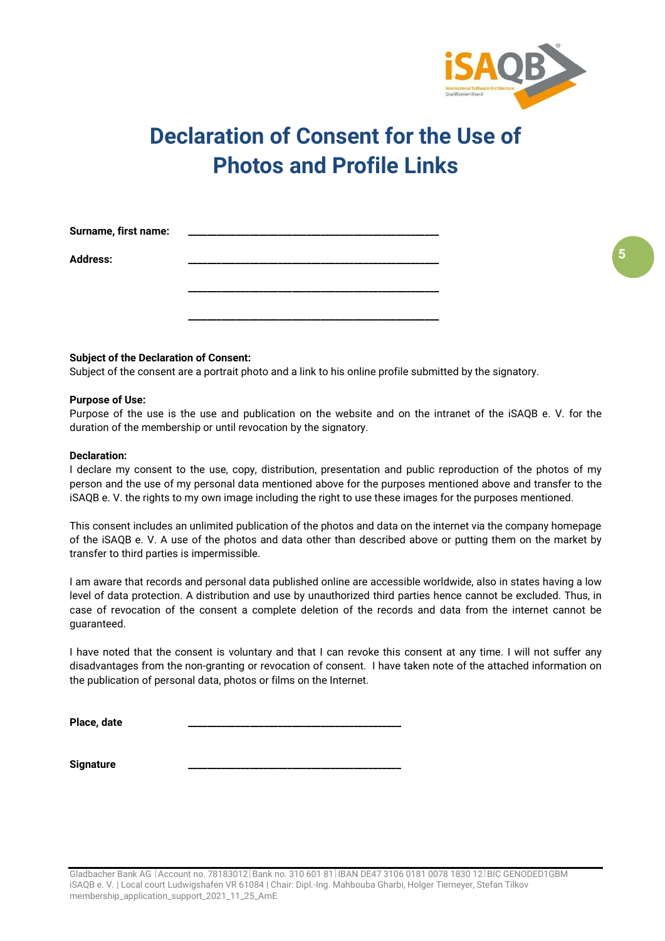

# Declaration of Consent for the Use of Photos and Profile Links

| Surname, first name: |  |
|----------------------|--|
| <b>Address:</b>      |  |
|                      |  |
|                      |  |
|                      |  |

#### Subject of the Declaration of Consent:

Subject of the consent are a portrait photo and a link to his online profile submitted by the signatory.

#### Purpose of Use:

Purpose of the use is the use and publication on the website and on the intranet of the iSAQB e. V. for the duration of the membership or until revocation by the signatory.

#### Declaration:

I declare my consent to the use, copy, distribution, presentation and public reproduction of the photos of my person and the use of my personal data mentioned above for the purposes mentioned above and transfer to the iSAQB e. V. the rights to my own image including the right to use these images for the purposes mentioned.

This consent includes an unlimited publication of the photos and data on the internet via the company homepage of the iSAQB e. V. A use of the photos and data other than described above or putting them on the market by transfer to third parties is impermissible.

I am aware that records and personal data published online are accessible worldwide, also in states having a low level of data protection. A distribution and use by unauthorized third parties hence cannot be excluded. Thus, in case of revocation of the consent a complete deletion of the records and data from the internet cannot be guaranteed.

I have noted that the consent is voluntary and that I can revoke this consent at any time. I will not suffer any disadvantages from the non-granting or revocation of consent. I have taken note of the attached information on the publication of personal data, photos or films on the Internet.

Place, date

Signature

5